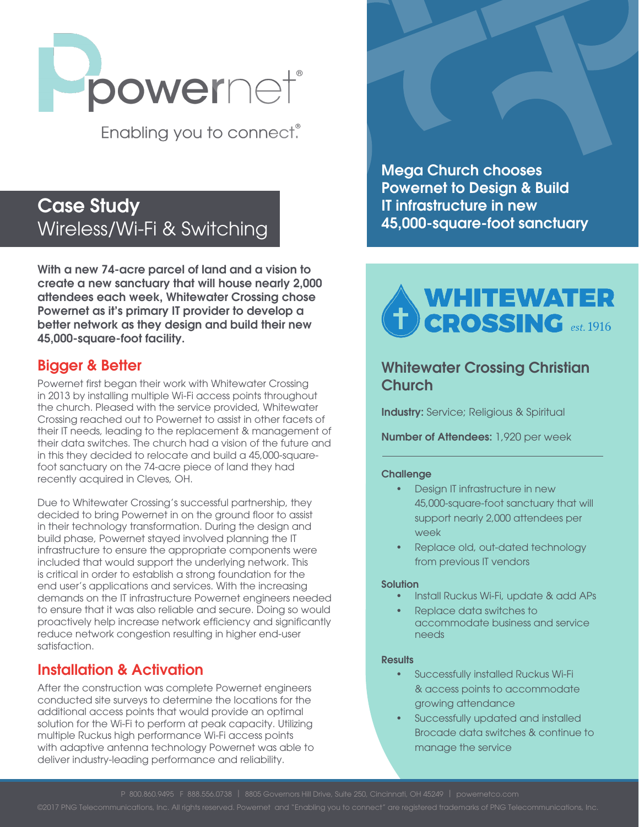

Enabling you to connect.

# Case Study Wireless/Wi-Fi & Switching

With a new 74-acre parcel of land and a vision to create a new sanctuary that will house nearly 2,000 attendees each week, Whitewater Crossing chose Powernet as it's primary IT provider to develop a better network as they design and build their new 45,000-square-foot facility.

### Bigger & Better

Powernet first began their work with Whitewater Crossing in 2013 by installing multiple Wi-Fi access points throughout the church. Pleased with the service provided, Whitewater Crossing reached out to Powernet to assist in other facets of their IT needs, leading to the replacement & management of their data switches. The church had a vision of the future and in this they decided to relocate and build a 45,000-squarefoot sanctuary on the 74-acre piece of land they had recently acquired in Cleves, OH.

Due to Whitewater Crossing's successful partnership, they decided to bring Powernet in on the ground floor to assist in their technology transformation. During the design and build phase, Powernet stayed involved planning the IT infrastructure to ensure the appropriate components were included that would support the underlying network. This is critical in order to establish a strong foundation for the end user's applications and services. With the increasing demands on the IT infrastructure Powernet engineers needed to ensure that it was also reliable and secure. Doing so would proactively help increase network efficiency and significantly reduce network congestion resulting in higher end-user satisfaction.

# Installation & Activation

After the construction was complete Powernet engineers conducted site surveys to determine the locations for the additional access points that would provide an optimal solution for the Wi-Fi to perform at peak capacity. Utilizing multiple Ruckus high performance Wi-Fi access points with adaptive antenna technology Powernet was able to deliver industry-leading performance and reliability.

Mega Church chooses Powernet to Design & Build IT infrastructure in new 45,000-square-foot sanctuary



## Whitewater Crossing Christian **Church**

**Industry:** Service; Religious & Spiritual

Number of Attendees: 1,920 per week

#### **Challenge**

- Design IT infrastructure in new 45,000-square-foot sanctuary that will support nearly 2,000 attendees per week
- Replace old, out-dated technology from previous IT vendors

#### **Solution**

- Install Ruckus Wi-Fi, update & add APs
- Replace data switches to accommodate business and service needs

#### **Results**

- Successfully installed Ruckus Wi-Fi & access points to accommodate growing attendance
- Successfully updated and installed Brocade data switches & continue to manage the service